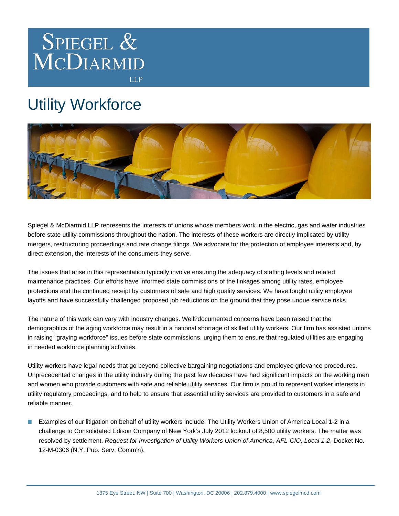

## Utility Workforce



Spiegel & McDiarmid LLP represents the interests of unions whose members work in the electric, gas and water industries before state utility commissions throughout the nation. The interests of these workers are directly implicated by utility mergers, restructuring proceedings and rate change filings. We advocate for the protection of employee interests and, by direct extension, the interests of the consumers they serve.

The issues that arise in this representation typically involve ensuring the adequacy of staffing levels and related maintenance practices. Our efforts have informed state commissions of the linkages among utility rates, employee protections and the continued receipt by customers of safe and high quality services. We have fought utility employee layoffs and have successfully challenged proposed job reductions on the ground that they pose undue service risks.

The nature of this work can vary with industry changes. Well?documented concerns have been raised that the demographics of the aging workforce may result in a national shortage of skilled utility workers. Our firm has assisted unions in raising "graying workforce" issues before state commissions, urging them to ensure that regulated utilities are engaging in needed workforce planning activities.

Utility workers have legal needs that go beyond collective bargaining negotiations and employee grievance procedures. Unprecedented changes in the utility industry during the past few decades have had significant impacts on the working men and women who provide customers with safe and reliable utility services. Our firm is proud to represent worker interests in utility regulatory proceedings, and to help to ensure that essential utility services are provided to customers in a safe and reliable manner.

Examples of our litigation on behalf of utility workers include: The Utility Workers Union of America Local 1-2 in a challenge to Consolidated Edison Company of New York's July 2012 lockout of 8,500 utility workers. The matter was resolved by settlement. Request for Investigation of Utility Workers Union of America, AFL-CIO, Local 1-2, Docket No. 12-M-0306 (N.Y. Pub. Serv. Comm'n).